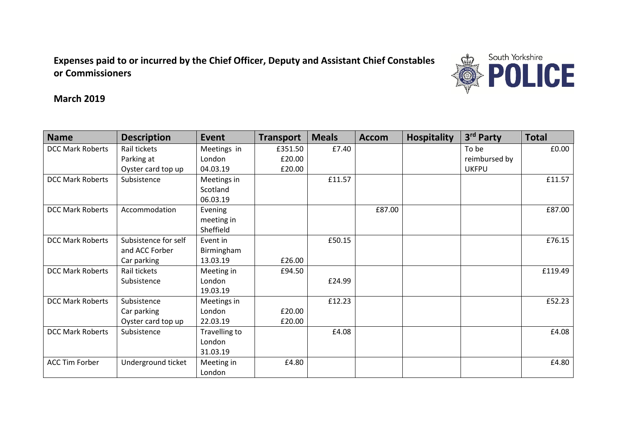**Expenses paid to or incurred by the Chief Officer, Deputy and Assistant Chief Constables or Commissioners** 



**March 2019**

| <b>Name</b>             | <b>Description</b>   | <b>Event</b>  | <b>Transport</b> | <b>Meals</b> | <b>Accom</b> | <b>Hospitality</b> | 3rd Party     | <b>Total</b> |
|-------------------------|----------------------|---------------|------------------|--------------|--------------|--------------------|---------------|--------------|
| <b>DCC Mark Roberts</b> | Rail tickets         | Meetings in   | £351.50          | £7.40        |              |                    | To be         | £0.00        |
|                         | Parking at           | London        | £20.00           |              |              |                    | reimbursed by |              |
|                         | Oyster card top up   | 04.03.19      | £20.00           |              |              |                    | <b>UKFPU</b>  |              |
| <b>DCC Mark Roberts</b> | Subsistence          | Meetings in   |                  | £11.57       |              |                    |               | £11.57       |
|                         |                      | Scotland      |                  |              |              |                    |               |              |
|                         |                      | 06.03.19      |                  |              |              |                    |               |              |
| <b>DCC Mark Roberts</b> | Accommodation        | Evening       |                  |              | £87.00       |                    |               | £87.00       |
|                         |                      | meeting in    |                  |              |              |                    |               |              |
|                         |                      | Sheffield     |                  |              |              |                    |               |              |
| <b>DCC Mark Roberts</b> | Subsistence for self | Event in      |                  | £50.15       |              |                    |               | £76.15       |
|                         | and ACC Forber       | Birmingham    |                  |              |              |                    |               |              |
|                         | Car parking          | 13.03.19      | £26.00           |              |              |                    |               |              |
| <b>DCC Mark Roberts</b> | Rail tickets         | Meeting in    | £94.50           |              |              |                    |               | £119.49      |
|                         | Subsistence          | London        |                  | £24.99       |              |                    |               |              |
|                         |                      | 19.03.19      |                  |              |              |                    |               |              |
| <b>DCC Mark Roberts</b> | Subsistence          | Meetings in   |                  | £12.23       |              |                    |               | £52.23       |
|                         | Car parking          | London        | £20.00           |              |              |                    |               |              |
|                         | Oyster card top up   | 22.03.19      | £20.00           |              |              |                    |               |              |
| <b>DCC Mark Roberts</b> | Subsistence          | Travelling to |                  | £4.08        |              |                    |               | £4.08        |
|                         |                      | London        |                  |              |              |                    |               |              |
|                         |                      | 31.03.19      |                  |              |              |                    |               |              |
| <b>ACC Tim Forber</b>   | Underground ticket   | Meeting in    | £4.80            |              |              |                    |               | £4.80        |
|                         |                      | London        |                  |              |              |                    |               |              |